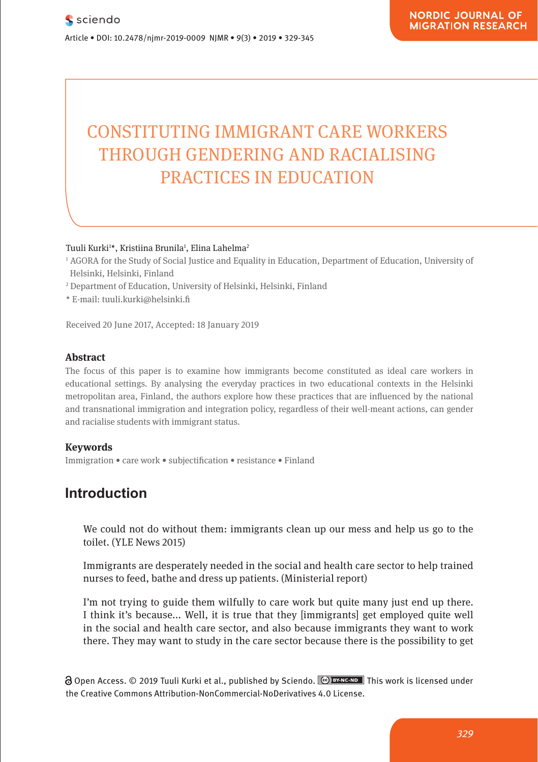# **CONSTITUTING IMMIGRANT CARE WORKERS THROUGH GENDERING AND RACIALISING** PRACTICES IN EDUCATION Neuro en du<br>PRACT WAS ISSUED IN DUCTION

Tuuli Kurki<sup>1\*</sup>, Kristiina Brunila<sup>1</sup>, Elina Lahelma<sup>2</sup>

- <sup>1</sup> AGORA for the Study of Social Justice and Equality in Education, Department of Education, University of  $\sim$ Helsinki, Helsinki, Finland
- 11 Helsinki, Helsinki, Finland<br><sup>2</sup> Department of Education, University of Helsinki, Helsinki, Finland

**Pharmacological and Mental Self-transformation in Ethic** 

\* E-mail: tuuli.kurki@helsinki.fi

Received 20 June 2017, Accepted: 18 January 2019

#### **Abstract Abstract: In the concept of the aesthetic formation of the aesthetic formation of the aesthetic formation** of a

Research Article

The focus of this paper is to examine how immigrants become constituted as ideal care workers in educational settings. By analysing the everyday practices in two educational contexts in the Helsinki metropolitan area, Finland, the authors explore how these practices that are influenced by the national and transnational immigration and integration policy, regardless of their well-meant actions, can gender and racialise students with immigrant status.

#### **Keywords**

Journal xyz 2017; 1 (2): 122–135

**Immigration • care work • subjectification • resistance • Finland** 

### **Introduction**

We could not do without them: immigrants clean up our mess and help us go to the toilet. (YLE News 2015)

Immigrants are desperately needed in the social and health care sector to help trained nurses to feed, bathe and dress up patients. (Ministerial report)

I'm not trying to guide them wilfully to care work but quite many just end up there. I think it's because... Well, it is true that they [immigrants] get employed quite well in the social and health care sector, and also because immigrants they want to work there. They may want to study in the care sector because there is the possibility to get

∂ Open Access. © 2019 Tuuli Kurki et al., published by Sciendo. <u>I© в×мсыв ∎</u> This work is licensed under the Creative Commons Attribution-NonCommercial-NoDerivatives 4.0 License.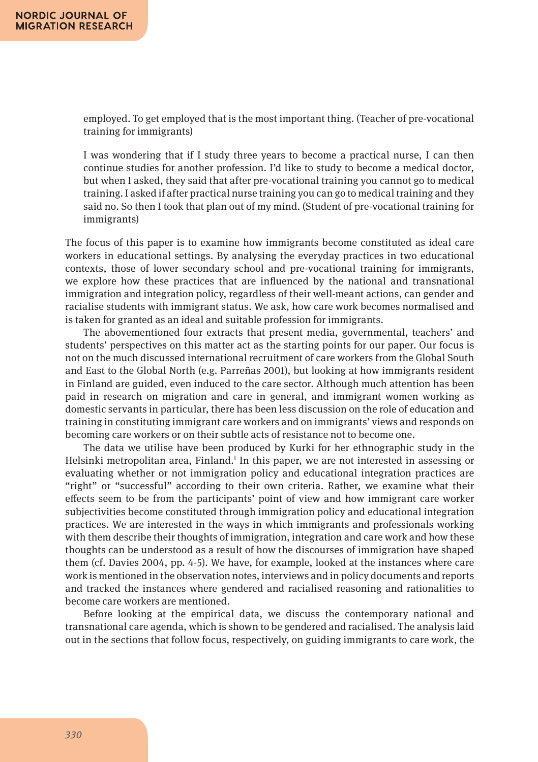employed. To get employed that is the most important thing. (Teacher of pre-vocational training for immigrants)

I was wondering that if I study three years to become a practical nurse, I can then continue studies for another profession. I'd like to study to become a medical doctor, but when I asked, they said that after pre-vocational training you cannot go to medical training. I asked if after practical nurse training you can go to medical training and they said no. So then I took that plan out of my mind. (Student of pre-vocational training for immigrants)

The focus of this paper is to examine how immigrants become constituted as ideal care workers in educational settings. By analysing the everyday practices in two educational contexts, those of lower secondary school and pre-vocational training for immigrants, we explore how these practices that are influenced by the national and transnational immigration and integration policy, regardless of their well-meant actions, can gender and racialise students with immigrant status. We ask, how care work becomes normalised and is taken for granted as an ideal and suitable profession for immigrants.

The abovementioned four extracts that present media, governmental, teachers' and students' perspectives on this matter act as the starting points for our paper. Our focus is not on the much discussed international recruitment of care workers from the Global South and East to the Global North (e.g. Parreñas 2001), but looking at how immigrants resident in Finland are guided, even induced to the care sector. Although much attention has been paid in research on migration and care in general, and immigrant women working as domestic servants in particular, there has been less discussion on the role of education and training in constituting immigrant care workers and on immigrants' views and responds on becoming care workers or on their subtle acts of resistance not to become one.

The data we utilise have been produced by Kurki for her ethnographic study in the Helsinki metropolitan area, Finland.<sup>1</sup> In this paper, we are not interested in assessing or evaluating whether or not immigration policy and educational integration practices are "right" or "successful" according to their own criteria. Rather, we examine what their effects seem to be from the participants' point of view and how immigrant care worker subjectivities become constituted through immigration policy and educational integration practices. We are interested in the ways in which immigrants and professionals working with them describe their thoughts of immigration, integration and care work and how these thoughts can be understood as a result of how the discourses of immigration have shaped them (cf. Davies 2004, pp. 4-5). We have, for example, looked at the instances where care work is mentioned in the observation notes, interviews and in policy documents and reports and tracked the instances where gendered and racialised reasoning and rationalities to become care workers are mentioned.

Before looking at the empirical data, we discuss the contemporary national and transnational care agenda, which is shown to be gendered and racialised. The analysis laid out in the sections that follow focus, respectively, on guiding immigrants to care work, the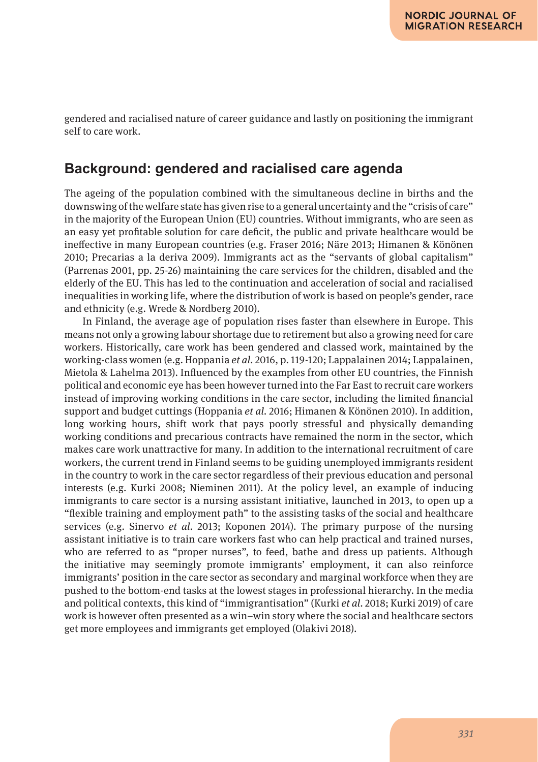gendered and racialised nature of career guidance and lastly on positioning the immigrant self to care work.

#### **Background: gendered and racialised care agenda**

The ageing of the population combined with the simultaneous decline in births and the downswing of the welfare state has given rise to a general uncertainty and the "crisis of care" in the majority of the European Union (EU) countries. Without immigrants, who are seen as an easy yet profitable solution for care deficit, the public and private healthcare would be ineffective in many European countries (e.g. Fraser 2016; Näre 2013; Himanen & Könönen 2010; Precarias a la deriva 2009). Immigrants act as the "servants of global capitalism" (Parrenas 2001, pp. 25-26) maintaining the care services for the children, disabled and the elderly of the EU. This has led to the continuation and acceleration of social and racialised inequalities in working life, where the distribution of work is based on people's gender, race and ethnicity (e.g. Wrede & Nordberg 2010).

In Finland, the average age of population rises faster than elsewhere in Europe. This means not only a growing labour shortage due to retirement but also a growing need for care workers. Historically, care work has been gendered and classed work, maintained by the working-class women (e.g. Hoppania *et al*. 2016, p. 119-120; Lappalainen 2014; Lappalainen, Mietola & Lahelma 2013). Influenced by the examples from other EU countries, the Finnish political and economic eye has been however turned into the Far East to recruit care workers instead of improving working conditions in the care sector, including the limited financial support and budget cuttings (Hoppania *et al*. 2016; Himanen & Könönen 2010). In addition, long working hours, shift work that pays poorly stressful and physically demanding working conditions and precarious contracts have remained the norm in the sector, which makes care work unattractive for many. In addition to the international recruitment of care workers, the current trend in Finland seems to be guiding unemployed immigrants resident in the country to work in the care sector regardless of their previous education and personal interests (e.g. Kurki 2008; Nieminen 2011). At the policy level, an example of inducing immigrants to care sector is a nursing assistant initiative, launched in 2013, to open up a "flexible training and employment path" to the assisting tasks of the social and healthcare services (e.g. Sinervo *et al*. 2013; Koponen 2014). The primary purpose of the nursing assistant initiative is to train care workers fast who can help practical and trained nurses, who are referred to as "proper nurses", to feed, bathe and dress up patients. Although the initiative may seemingly promote immigrants' employment, it can also reinforce immigrants' position in the care sector as secondary and marginal workforce when they are pushed to the bottom-end tasks at the lowest stages in professional hierarchy. In the media and political contexts, this kind of "immigrantisation" (Kurki *et al*. 2018; Kurki 2019) of care work is however often presented as a win–win story where the social and healthcare sectors get more employees and immigrants get employed (Olakivi 2018).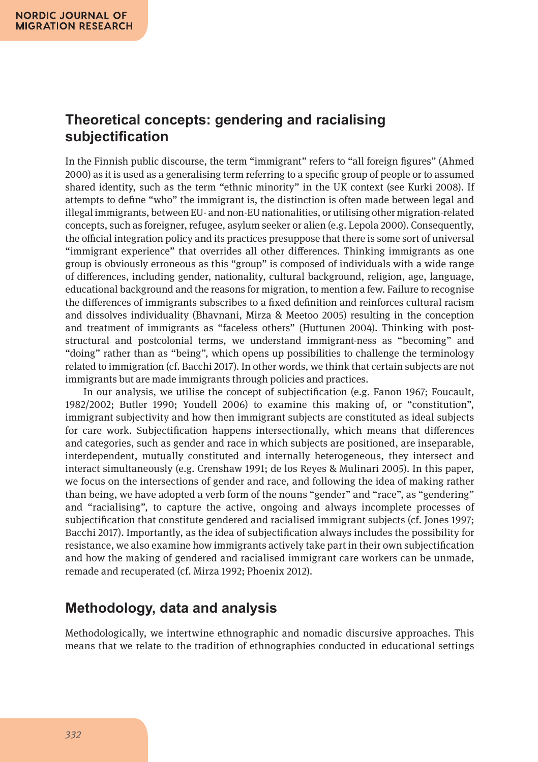#### **Theoretical concepts: gendering and racialising subjectification**

In the Finnish public discourse, the term "immigrant" refers to "all foreign figures" (Ahmed 2000) as it is used as a generalising term referring to a specific group of people or to assumed shared identity, such as the term "ethnic minority" in the UK context (see Kurki 2008). If attempts to define "who" the immigrant is, the distinction is often made between legal and illegal immigrants, between EU- and non-EU nationalities, or utilising other migration-related concepts, such as foreigner, refugee, asylum seeker or alien (e.g. Lepola 2000). Consequently, the official integration policy and its practices presuppose that there is some sort of universal "immigrant experience" that overrides all other differences. Thinking immigrants as one group is obviously erroneous as this "group" is composed of individuals with a wide range of differences, including gender, nationality, cultural background, religion, age, language, educational background and the reasons for migration, to mention a few. Failure to recognise the differences of immigrants subscribes to a fixed definition and reinforces cultural racism and dissolves individuality (Bhavnani, Mirza & Meetoo 2005) resulting in the conception and treatment of immigrants as "faceless others" (Huttunen 2004). Thinking with poststructural and postcolonial terms, we understand immigrant-ness as "becoming" and "doing" rather than as "being", which opens up possibilities to challenge the terminology related to immigration (cf. Bacchi 2017). In other words, we think that certain subjects are not immigrants but are made immigrants through policies and practices.

In our analysis, we utilise the concept of subjectification (e.g. Fanon 1967; Foucault, 1982/2002; Butler 1990; Youdell 2006) to examine this making of, or "constitution", immigrant subjectivity and how then immigrant subjects are constituted as ideal subjects for care work. Subjectification happens intersectionally, which means that differences and categories, such as gender and race in which subjects are positioned, are inseparable, interdependent, mutually constituted and internally heterogeneous, they intersect and interact simultaneously (e.g. Crenshaw 1991; de los Reyes & Mulinari 2005). In this paper, we focus on the intersections of gender and race, and following the idea of making rather than being, we have adopted a verb form of the nouns "gender" and "race", as "gendering" and "racialising", to capture the active, ongoing and always incomplete processes of subjectification that constitute gendered and racialised immigrant subjects (cf. Jones 1997; Bacchi 2017). Importantly, as the idea of subjectification always includes the possibility for resistance, we also examine how immigrants actively take part in their own subjectification and how the making of gendered and racialised immigrant care workers can be unmade, remade and recuperated (cf. Mirza 1992; Phoenix 2012).

## **Methodology, data and analysis**

Methodologically, we intertwine ethnographic and nomadic discursive approaches. This means that we relate to the tradition of ethnographies conducted in educational settings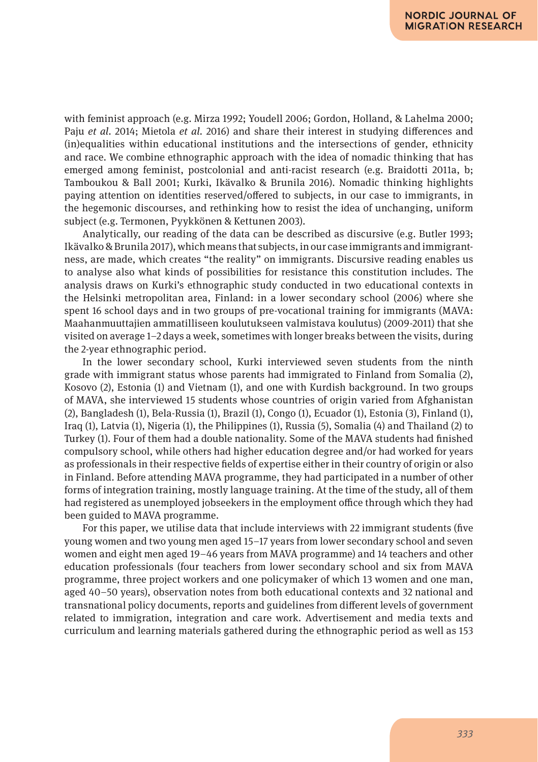with feminist approach (e.g. Mirza 1992; Youdell 2006; Gordon, Holland, & Lahelma 2000; Paju *et al*. 2014; Mietola *et al*. 2016) and share their interest in studying differences and (in)equalities within educational institutions and the intersections of gender, ethnicity and race. We combine ethnographic approach with the idea of nomadic thinking that has emerged among feminist, postcolonial and anti-racist research (e.g. Braidotti 2011a, b; Tamboukou & Ball 2001; Kurki, Ikävalko & Brunila 2016). Nomadic thinking highlights paying attention on identities reserved/offered to subjects, in our case to immigrants, in the hegemonic discourses, and rethinking how to resist the idea of unchanging, uniform subject (e.g. Termonen, Pyykkönen & Kettunen 2003).

Analytically, our reading of the data can be described as discursive (e.g. Butler 1993; Ikävalko & Brunila 2017), which means that subjects, in our case immigrants and immigrantness, are made, which creates "the reality" on immigrants. Discursive reading enables us to analyse also what kinds of possibilities for resistance this constitution includes. The analysis draws on Kurki's ethnographic study conducted in two educational contexts in the Helsinki metropolitan area, Finland: in a lower secondary school (2006) where she spent 16 school days and in two groups of pre-vocational training for immigrants (MAVA: Maahanmuuttajien ammatilliseen koulutukseen valmistava koulutus) (2009-2011) that she visited on average 1–2 days a week, sometimes with longer breaks between the visits, during the 2-year ethnographic period.

In the lower secondary school, Kurki interviewed seven students from the ninth grade with immigrant status whose parents had immigrated to Finland from Somalia (2), Kosovo (2), Estonia (1) and Vietnam (1), and one with Kurdish background. In two groups of MAVA, she interviewed 15 students whose countries of origin varied from Afghanistan (2), Bangladesh (1), Bela-Russia (1), Brazil (1), Congo (1), Ecuador (1), Estonia (3), Finland (1), Iraq (1), Latvia (1), Nigeria (1), the Philippines (1), Russia (5), Somalia (4) and Thailand (2) to Turkey (1). Four of them had a double nationality. Some of the MAVA students had finished compulsory school, while others had higher education degree and/or had worked for years as professionals in their respective fields of expertise either in their country of origin or also in Finland. Before attending MAVA programme, they had participated in a number of other forms of integration training, mostly language training. At the time of the study, all of them had registered as unemployed jobseekers in the employment office through which they had been guided to MAVA programme.

For this paper, we utilise data that include interviews with 22 immigrant students (five young women and two young men aged 15–17 years from lower secondary school and seven women and eight men aged 19–46 years from MAVA programme) and 14 teachers and other education professionals (four teachers from lower secondary school and six from MAVA programme, three project workers and one policymaker of which 13 women and one man, aged 40–50 years), observation notes from both educational contexts and 32 national and transnational policy documents, reports and guidelines from different levels of government related to immigration, integration and care work. Advertisement and media texts and curriculum and learning materials gathered during the ethnographic period as well as 153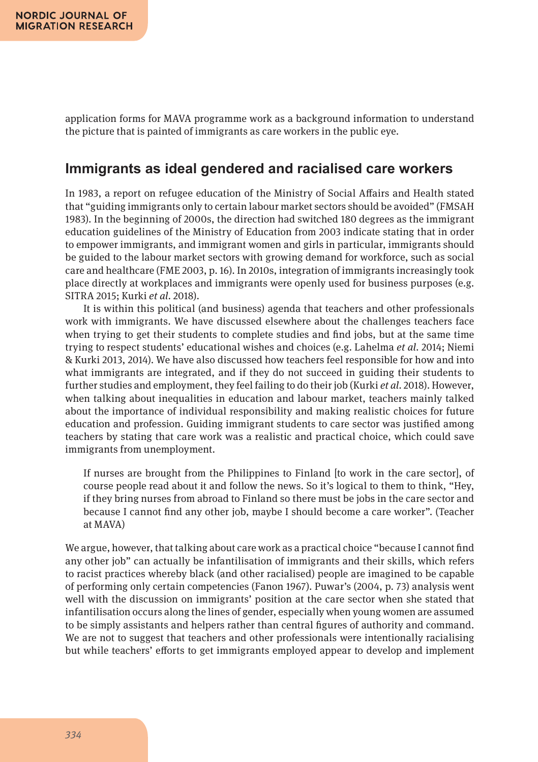application forms for MAVA programme work as a background information to understand the picture that is painted of immigrants as care workers in the public eye.

## **Immigrants as ideal gendered and racialised care workers**

In 1983, a report on refugee education of the Ministry of Social Affairs and Health stated that "guiding immigrants only to certain labour market sectors should be avoided" (FMSAH 1983). In the beginning of 2000s, the direction had switched 180 degrees as the immigrant education guidelines of the Ministry of Education from 2003 indicate stating that in order to empower immigrants, and immigrant women and girls in particular, immigrants should be guided to the labour market sectors with growing demand for workforce, such as social care and healthcare (FME 2003, p. 16). In 2010s, integration of immigrants increasingly took place directly at workplaces and immigrants were openly used for business purposes (e.g. SITRA 2015; Kurki *et al*. 2018).

It is within this political (and business) agenda that teachers and other professionals work with immigrants. We have discussed elsewhere about the challenges teachers face when trying to get their students to complete studies and find jobs, but at the same time trying to respect students' educational wishes and choices (e.g. Lahelma *et al*. 2014; Niemi & Kurki 2013, 2014). We have also discussed how teachers feel responsible for how and into what immigrants are integrated, and if they do not succeed in guiding their students to further studies and employment, they feel failing to do their job (Kurki *et al*. 2018). However, when talking about inequalities in education and labour market, teachers mainly talked about the importance of individual responsibility and making realistic choices for future education and profession. Guiding immigrant students to care sector was justified among teachers by stating that care work was a realistic and practical choice, which could save immigrants from unemployment.

If nurses are brought from the Philippines to Finland [to work in the care sector], of course people read about it and follow the news. So it's logical to them to think, "Hey, if they bring nurses from abroad to Finland so there must be jobs in the care sector and because I cannot find any other job, maybe I should become a care worker". (Teacher at MAVA)

We argue, however, that talking about care work as a practical choice "because I cannot find any other job" can actually be infantilisation of immigrants and their skills, which refers to racist practices whereby black (and other racialised) people are imagined to be capable of performing only certain competencies (Fanon 1967). Puwar's (2004, p. 73) analysis went well with the discussion on immigrants' position at the care sector when she stated that infantilisation occurs along the lines of gender, especially when young women are assumed to be simply assistants and helpers rather than central figures of authority and command. We are not to suggest that teachers and other professionals were intentionally racialising but while teachers' efforts to get immigrants employed appear to develop and implement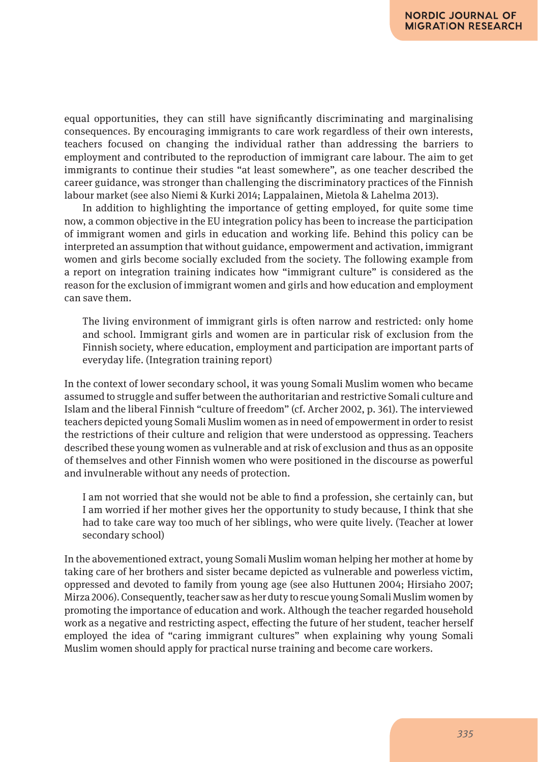equal opportunities, they can still have significantly discriminating and marginalising consequences. By encouraging immigrants to care work regardless of their own interests, teachers focused on changing the individual rather than addressing the barriers to employment and contributed to the reproduction of immigrant care labour. The aim to get immigrants to continue their studies "at least somewhere", as one teacher described the career guidance, was stronger than challenging the discriminatory practices of the Finnish labour market (see also Niemi & Kurki 2014; Lappalainen, Mietola & Lahelma 2013).

In addition to highlighting the importance of getting employed, for quite some time now, a common objective in the EU integration policy has been to increase the participation of immigrant women and girls in education and working life. Behind this policy can be interpreted an assumption that without guidance, empowerment and activation, immigrant women and girls become socially excluded from the society. The following example from a report on integration training indicates how "immigrant culture" is considered as the reason for the exclusion of immigrant women and girls and how education and employment can save them.

The living environment of immigrant girls is often narrow and restricted: only home and school. Immigrant girls and women are in particular risk of exclusion from the Finnish society, where education, employment and participation are important parts of everyday life. (Integration training report)

In the context of lower secondary school, it was young Somali Muslim women who became assumed to struggle and suffer between the authoritarian and restrictive Somali culture and Islam and the liberal Finnish "culture of freedom" (cf. Archer 2002, p. 361). The interviewed teachers depicted young Somali Muslim women as in need of empowerment in order to resist the restrictions of their culture and religion that were understood as oppressing. Teachers described these young women as vulnerable and at risk of exclusion and thus as an opposite of themselves and other Finnish women who were positioned in the discourse as powerful and invulnerable without any needs of protection.

I am not worried that she would not be able to find a profession, she certainly can, but I am worried if her mother gives her the opportunity to study because, I think that she had to take care way too much of her siblings, who were quite lively. (Teacher at lower secondary school)

In the abovementioned extract, young Somali Muslim woman helping her mother at home by taking care of her brothers and sister became depicted as vulnerable and powerless victim, oppressed and devoted to family from young age (see also Huttunen 2004; Hirsiaho 2007; Mirza 2006). Consequently, teacher saw as her duty to rescue young Somali Muslim women by promoting the importance of education and work. Although the teacher regarded household work as a negative and restricting aspect, effecting the future of her student, teacher herself employed the idea of "caring immigrant cultures" when explaining why young Somali Muslim women should apply for practical nurse training and become care workers.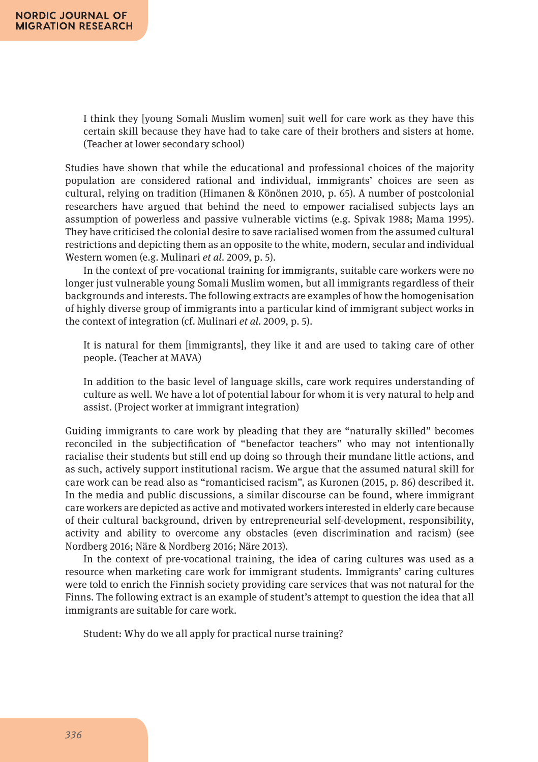I think they [young Somali Muslim women] suit well for care work as they have this certain skill because they have had to take care of their brothers and sisters at home. (Teacher at lower secondary school)

Studies have shown that while the educational and professional choices of the majority population are considered rational and individual, immigrants' choices are seen as cultural, relying on tradition (Himanen & Könönen 2010, p. 65). A number of postcolonial researchers have argued that behind the need to empower racialised subjects lays an assumption of powerless and passive vulnerable victims (e.g. Spivak 1988; Mama 1995). They have criticised the colonial desire to save racialised women from the assumed cultural restrictions and depicting them as an opposite to the white, modern, secular and individual Western women (e.g. Mulinari *et al*. 2009, p. 5).

In the context of pre-vocational training for immigrants, suitable care workers were no longer just vulnerable young Somali Muslim women, but all immigrants regardless of their backgrounds and interests. The following extracts are examples of how the homogenisation of highly diverse group of immigrants into a particular kind of immigrant subject works in the context of integration (cf. Mulinari *et al*. 2009, p. 5).

It is natural for them [immigrants], they like it and are used to taking care of other people. (Teacher at MAVA)

In addition to the basic level of language skills, care work requires understanding of culture as well. We have a lot of potential labour for whom it is very natural to help and assist. (Project worker at immigrant integration)

Guiding immigrants to care work by pleading that they are "naturally skilled" becomes reconciled in the subjectification of "benefactor teachers" who may not intentionally racialise their students but still end up doing so through their mundane little actions, and as such, actively support institutional racism. We argue that the assumed natural skill for care work can be read also as "romanticised racism", as Kuronen (2015, p. 86) described it. In the media and public discussions, a similar discourse can be found, where immigrant care workers are depicted as active and motivated workers interested in elderly care because of their cultural background, driven by entrepreneurial self-development, responsibility, activity and ability to overcome any obstacles (even discrimination and racism) (see Nordberg 2016; Näre & Nordberg 2016; Näre 2013).

In the context of pre-vocational training, the idea of caring cultures was used as a resource when marketing care work for immigrant students. Immigrants' caring cultures were told to enrich the Finnish society providing care services that was not natural for the Finns. The following extract is an example of student's attempt to question the idea that all immigrants are suitable for care work.

Student: Why do we all apply for practical nurse training?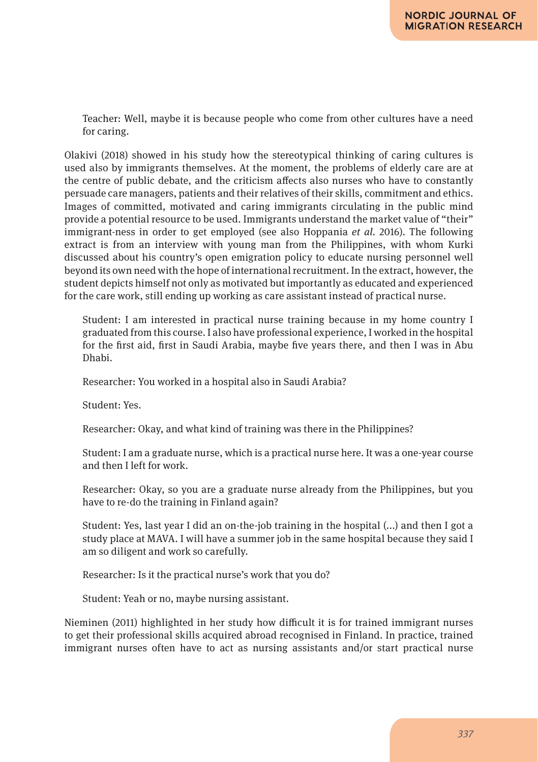Teacher: Well, maybe it is because people who come from other cultures have a need for caring.

Olakivi (2018) showed in his study how the stereotypical thinking of caring cultures is used also by immigrants themselves. At the moment, the problems of elderly care are at the centre of public debate, and the criticism affects also nurses who have to constantly persuade care managers, patients and their relatives of their skills, commitment and ethics. Images of committed, motivated and caring immigrants circulating in the public mind provide a potential resource to be used. Immigrants understand the market value of "their" immigrant-ness in order to get employed (see also Hoppania *et al*. 2016). The following extract is from an interview with young man from the Philippines, with whom Kurki discussed about his country's open emigration policy to educate nursing personnel well beyond its own need with the hope of international recruitment. In the extract, however, the student depicts himself not only as motivated but importantly as educated and experienced for the care work, still ending up working as care assistant instead of practical nurse.

Student: I am interested in practical nurse training because in my home country I graduated from this course. I also have professional experience, I worked in the hospital for the first aid, first in Saudi Arabia, maybe five years there, and then I was in Abu Dhabi.

Researcher: You worked in a hospital also in Saudi Arabia?

Student: Yes.

Researcher: Okay, and what kind of training was there in the Philippines?

Student: I am a graduate nurse, which is a practical nurse here. It was a one-year course and then I left for work.

Researcher: Okay, so you are a graduate nurse already from the Philippines, but you have to re-do the training in Finland again?

Student: Yes, last year I did an on-the-job training in the hospital (...) and then I got a study place at MAVA. I will have a summer job in the same hospital because they said I am so diligent and work so carefully.

Researcher: Is it the practical nurse's work that you do?

Student: Yeah or no, maybe nursing assistant.

Nieminen (2011) highlighted in her study how difficult it is for trained immigrant nurses to get their professional skills acquired abroad recognised in Finland. In practice, trained immigrant nurses often have to act as nursing assistants and/or start practical nurse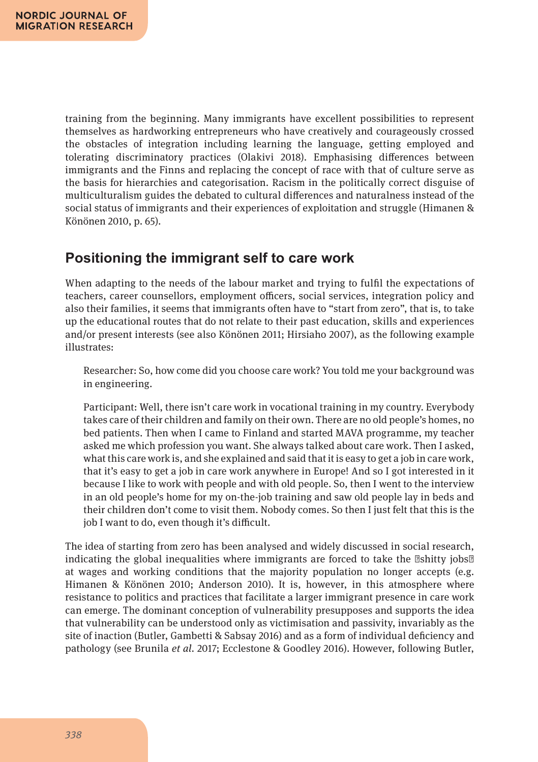training from the beginning. Many immigrants have excellent possibilities to represent themselves as hardworking entrepreneurs who have creatively and courageously crossed the obstacles of integration including learning the language, getting employed and tolerating discriminatory practices (Olakivi 2018). Emphasising differences between immigrants and the Finns and replacing the concept of race with that of culture serve as the basis for hierarchies and categorisation. Racism in the politically correct disguise of multiculturalism guides the debated to cultural differences and naturalness instead of the social status of immigrants and their experiences of exploitation and struggle (Himanen & Könönen 2010, p. 65).

# **Positioning the immigrant self to care work**

When adapting to the needs of the labour market and trying to fulfil the expectations of teachers, career counsellors, employment officers, social services, integration policy and also their families, it seems that immigrants often have to "start from zero", that is, to take up the educational routes that do not relate to their past education, skills and experiences and/or present interests (see also Könönen 2011; Hirsiaho 2007), as the following example illustrates:

Researcher: So, how come did you choose care work? You told me your background was in engineering.

Participant: Well, there isn't care work in vocational training in my country. Everybody takes care of their children and family on their own. There are no old people's homes, no bed patients. Then when I came to Finland and started MAVA programme, my teacher asked me which profession you want. She always talked about care work. Then I asked, what this care work is, and she explained and said that it is easy to get a job in care work, that it's easy to get a job in care work anywhere in Europe! And so I got interested in it because I like to work with people and with old people. So, then I went to the interview in an old people's home for my on-the-job training and saw old people lay in beds and their children don't come to visit them. Nobody comes. So then I just felt that this is the job I want to do, even though it's difficult.

The idea of starting from zero has been analysed and widely discussed in social research, indicating the global inequalities where immigrants are forced to take the shitty jobs at wages and working conditions that the majority population no longer accepts (e.g. Himanen & Könönen 2010; Anderson 2010). It is, however, in this atmosphere where resistance to politics and practices that facilitate a larger immigrant presence in care work can emerge. The dominant conception of vulnerability presupposes and supports the idea that vulnerability can be understood only as victimisation and passivity, invariably as the site of inaction (Butler, Gambetti & Sabsay 2016) and as a form of individual deficiency and pathology (see Brunila *et al*. 2017; Ecclestone & Goodley 2016). However, following Butler,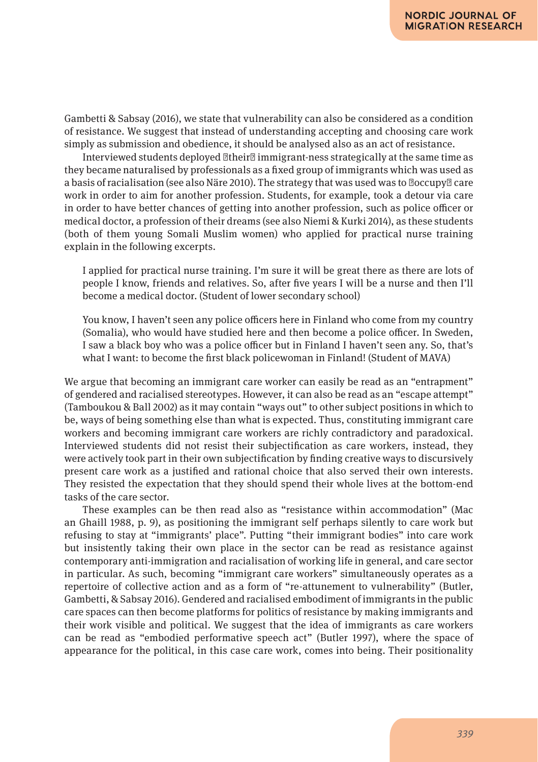Gambetti & Sabsay (2016), we state that vulnerability can also be considered as a condition of resistance. We suggest that instead of understanding accepting and choosing care work simply as submission and obedience, it should be analysed also as an act of resistance.

Interviewed students deployed their immigrant-ness strategically at the same time as they became naturalised by professionals as a fixed group of immigrants which was used as a basis of racialisation (see also Näre 2010). The strategy that was used was to occupy care work in order to aim for another profession. Students, for example, took a detour via care in order to have better chances of getting into another profession, such as police officer or medical doctor, a profession of their dreams (see also Niemi & Kurki 2014), as these students (both of them young Somali Muslim women) who applied for practical nurse training explain in the following excerpts.

I applied for practical nurse training. I'm sure it will be great there as there are lots of people I know, friends and relatives. So, after five years I will be a nurse and then I'll become a medical doctor. (Student of lower secondary school)

You know, I haven't seen any police officers here in Finland who come from my country (Somalia), who would have studied here and then become a police officer. In Sweden, I saw a black boy who was a police officer but in Finland I haven't seen any. So, that's what I want: to become the first black policewoman in Finland! (Student of MAVA)

We argue that becoming an immigrant care worker can easily be read as an "entrapment" of gendered and racialised stereotypes. However, it can also be read as an "escape attempt" (Tamboukou & Ball 2002) as it may contain "ways out" to other subject positions in which to be, ways of being something else than what is expected. Thus, constituting immigrant care workers and becoming immigrant care workers are richly contradictory and paradoxical. Interviewed students did not resist their subjectification as care workers, instead, they were actively took part in their own subjectification by finding creative ways to discursively present care work as a justified and rational choice that also served their own interests. They resisted the expectation that they should spend their whole lives at the bottom-end tasks of the care sector.

These examples can be then read also as "resistance within accommodation" (Mac an Ghaill 1988, p. 9), as positioning the immigrant self perhaps silently to care work but refusing to stay at "immigrants' place". Putting "their immigrant bodies" into care work but insistently taking their own place in the sector can be read as resistance against contemporary anti-immigration and racialisation of working life in general, and care sector in particular. As such, becoming "immigrant care workers" simultaneously operates as a repertoire of collective action and as a form of "re-attunement to vulnerability" (Butler, Gambetti, & Sabsay 2016). Gendered and racialised embodiment of immigrants in the public care spaces can then become platforms for politics of resistance by making immigrants and their work visible and political. We suggest that the idea of immigrants as care workers can be read as "embodied performative speech act" (Butler 1997), where the space of appearance for the political, in this case care work, comes into being. Their positionality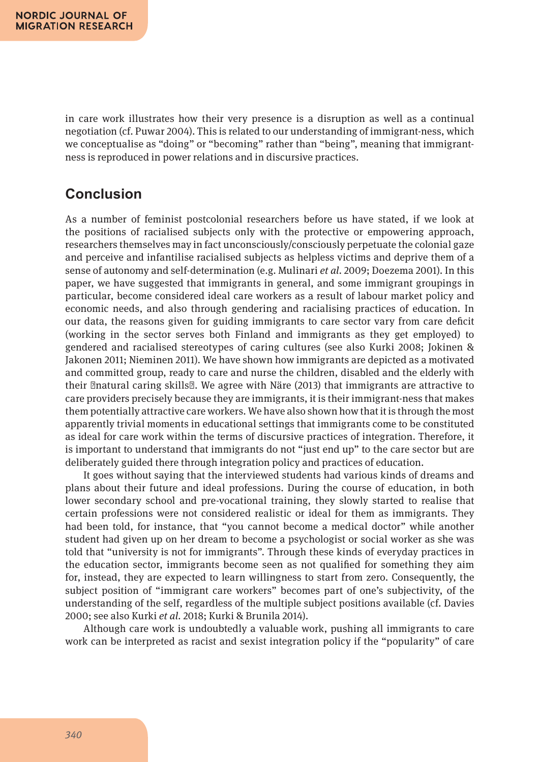in care work illustrates how their very presence is a disruption as well as a continual negotiation (cf. Puwar 2004). This is related to our understanding of immigrant-ness, which we conceptualise as "doing" or "becoming" rather than "being", meaning that immigrantness is reproduced in power relations and in discursive practices.

# **Conclusion**

As a number of feminist postcolonial researchers before us have stated, if we look at the positions of racialised subjects only with the protective or empowering approach, researchers themselves may in fact unconsciously/consciously perpetuate the colonial gaze and perceive and infantilise racialised subjects as helpless victims and deprive them of a sense of autonomy and self-determination (e.g. Mulinari *et al*. 2009; Doezema 2001). In this paper, we have suggested that immigrants in general, and some immigrant groupings in particular, become considered ideal care workers as a result of labour market policy and economic needs, and also through gendering and racialising practices of education. In our data, the reasons given for guiding immigrants to care sector vary from care deficit (working in the sector serves both Finland and immigrants as they get employed) to gendered and racialised stereotypes of caring cultures (see also Kurki 2008; Jokinen & Jakonen 2011; Nieminen 2011). We have shown how immigrants are depicted as a motivated and committed group, ready to care and nurse the children, disabled and the elderly with their natural caring skills . We agree with Näre (2013) that immigrants are attractive to care providers precisely because they are immigrants, it is their immigrant-ness that makes them potentially attractive care workers. We have also shown how that it is through the most apparently trivial moments in educational settings that immigrants come to be constituted as ideal for care work within the terms of discursive practices of integration. Therefore, it is important to understand that immigrants do not "just end up" to the care sector but are deliberately guided there through integration policy and practices of education.

It goes without saying that the interviewed students had various kinds of dreams and plans about their future and ideal professions. During the course of education, in both lower secondary school and pre-vocational training, they slowly started to realise that certain professions were not considered realistic or ideal for them as immigrants. They had been told, for instance, that "you cannot become a medical doctor" while another student had given up on her dream to become a psychologist or social worker as she was told that "university is not for immigrants". Through these kinds of everyday practices in the education sector, immigrants become seen as not qualified for something they aim for, instead, they are expected to learn willingness to start from zero. Consequently, the subject position of "immigrant care workers" becomes part of one's subjectivity, of the understanding of the self, regardless of the multiple subject positions available (cf. Davies 2000; see also Kurki *et al*. 2018; Kurki & Brunila 2014).

Although care work is undoubtedly a valuable work, pushing all immigrants to care work can be interpreted as racist and sexist integration policy if the "popularity" of care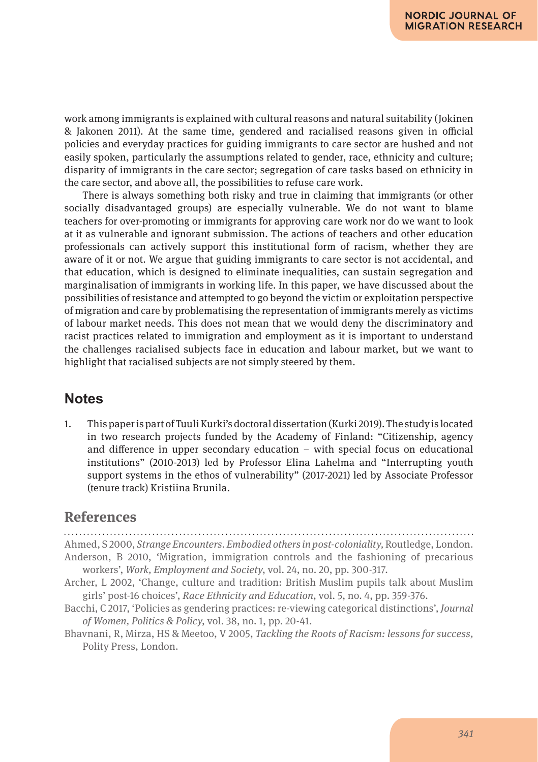work among immigrants is explained with cultural reasons and natural suitability (Jokinen & Jakonen 2011). At the same time, gendered and racialised reasons given in official policies and everyday practices for guiding immigrants to care sector are hushed and not easily spoken, particularly the assumptions related to gender, race, ethnicity and culture; disparity of immigrants in the care sector; segregation of care tasks based on ethnicity in the care sector, and above all, the possibilities to refuse care work.

There is always something both risky and true in claiming that immigrants (or other socially disadvantaged groups) are especially vulnerable. We do not want to blame teachers for over-promoting or immigrants for approving care work nor do we want to look at it as vulnerable and ignorant submission. The actions of teachers and other education professionals can actively support this institutional form of racism, whether they are aware of it or not. We argue that guiding immigrants to care sector is not accidental, and that education, which is designed to eliminate inequalities, can sustain segregation and marginalisation of immigrants in working life. In this paper, we have discussed about the possibilities of resistance and attempted to go beyond the victim or exploitation perspective of migration and care by problematising the representation of immigrants merely as victims of labour market needs. This does not mean that we would deny the discriminatory and racist practices related to immigration and employment as it is important to understand the challenges racialised subjects face in education and labour market, but we want to highlight that racialised subjects are not simply steered by them.

### **Notes**

1. This paper is part of Tuuli Kurki's doctoral dissertation (Kurki 2019). The study is located in two research projects funded by the Academy of Finland: "Citizenship, agency and difference in upper secondary education – with special focus on educational institutions" (2010-2013) led by Professor Elina Lahelma and "Interrupting youth support systems in the ethos of vulnerability" (2017-2021) led by Associate Professor (tenure track) Kristiina Brunila.

#### **References**

Ahmed, S 2000, *Strange Encounters. Embodied others in post-coloniality,* Routledge, London. Anderson, B 2010, 'Migration, immigration controls and the fashioning of precarious workers', *Work, Employment and Society*, vol. 24, no. 20, pp. 300-317. Archer, L 2002, 'Change, culture and tradition: British Muslim pupils talk about Muslim girls' post-16 choices', *Race Ethnicity and Education*, vol. 5, no. 4, pp. 359-376. Bacchi, C 2017, 'Policies as gendering practices: re-viewing categorical distinctions', *Journal of Women, Politics & Policy*, vol. 38, no. 1, pp. 20-41. Bhavnani, R, Mirza, HS & Meetoo, V 2005, *Tackling the Roots of Racism: lessons for success,*  Polity Press, London.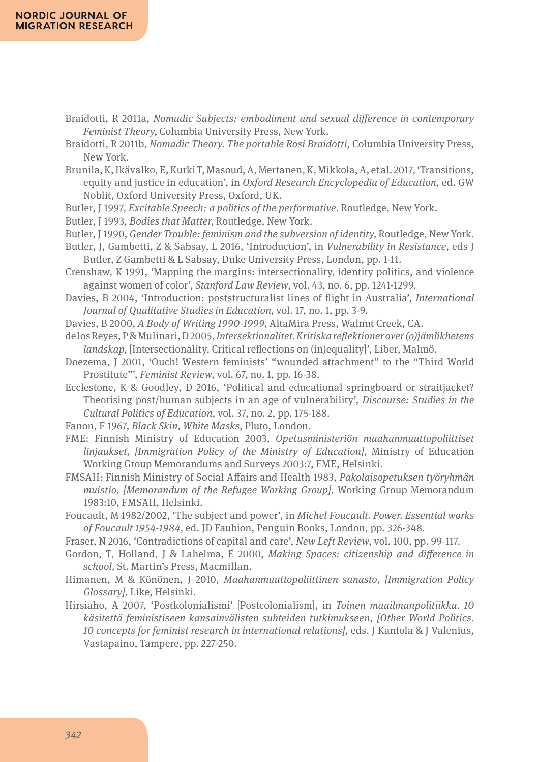- Braidotti, R 2011a, *Nomadic Subjects: embodiment and sexual difference in contemporary Feminist Theory,* Columbia University Press, New York.
- Braidotti, R 2011b, *Nomadic Theory. The portable Rosi Braidotti,* Columbia University Press, New York.
- Brunila, K, Ikävalko, E, Kurki T, Masoud, A, Mertanen, K, Mikkola, A, et al. 2017, 'Transitions, equity and justice in education', in *Oxford Research Encyclopedia of Education*, ed. GW Noblit, Oxford University Press, Oxford, UK.
- Butler, J 1997, *Excitable Speech: a politics of the performative.* Routledge, New York.
- Butler, J 1993, *Bodies that Matter,* Routledge, New York.
- Butler, J 1990, *Gender Trouble: feminism and the subversion of identity,* Routledge, New York.
- Butler, J, Gambetti, Z & Sabsay, L 2016, 'Introduction', in *Vulnerability in Resistance*, eds J Butler, Z Gambetti & L Sabsay, Duke University Press, London, pp. 1-11.
- Crenshaw, K 1991, 'Mapping the margins: intersectionality, identity politics, and violence against women of color', *Stanford Law Review*, vol. 43, no. 6, pp. 1241-1299.
- Davies, B 2004, 'Introduction: poststructuralist lines of flight in Australia', *International Journal of Qualitative Studies in Education,* vol. 17, no. 1, pp. 3-9.
- Davies, B 2000, *A Body of Writing 1990-1999,* AltaMira Press, Walnut Creek, CA.
- de los Reyes, P & Mulinari, D 2005, *Intersektionalitet. Kritiska reflektioner over (o)jämlikhetens landskap,* [Intersectionality. Critical reflections on (in)equality]', Liber, Malmö.
- Doezema, J 2001, 'Ouch! Western feminists' "wounded attachment" to the "Third World Prostitute"', *Feminist Review*, vol. 67, no. 1, pp. 16-38.
- Ecclestone, K & Goodley, D 2016, 'Political and educational springboard or straitjacket? Theorising post/human subjects in an age of vulnerability', *Discourse: Studies in the Cultural Politics of Education*, vol. 37, no. 2, pp. 175-188.
- Fanon, F 1967, *Black Skin, White Masks,* Pluto, London.
- FME: Finnish Ministry of Education 2003, *Opetusministeriön maahanmuuttopoliittiset linjaukset, [Immigration Policy of the Ministry of Education]*, Ministry of Education Working Group Memorandums and Surveys 2003:7, FME, Helsinki.
- FMSAH: Finnish Ministry of Social Affairs and Health 1983, *Pakolaisopetuksen työryhmän muistio, [Memorandum of the Refugee Working Group],* Working Group Memorandum 1983:10, FMSAH, Helsinki.
- Foucault, M 1982/2002, 'The subject and power', in *Michel Foucault. Power. Essential works of Foucault 1954-1984*, ed. JD Faubion, Penguin Books, London, pp. 326-348.
- Fraser, N 2016, 'Contradictions of capital and care', *New Left Review*, vol. 100, pp. 99-117.
- Gordon, T, Holland, J & Lahelma, E 2000, *Making Spaces: citizenship and difference in school,* St. Martin's Press, Macmillan.
- Himanen, M & Könönen, J 2010, *Maahanmuuttopoliittinen sanasto, [Immigration Policy Glossary],* Like, Helsinki.
- Hirsiaho, A 2007, 'Postkolonialismi' [Postcolonialism], in *Toinen maailmanpolitiikka. 10 käsitettä feministiseen kansainvälisten suhteiden tutkimukseen*, *[Other World Politics. 10 concepts for feminist research in international relations],* eds. J Kantola & J Valenius, Vastapaino, Tampere, pp. 227-250.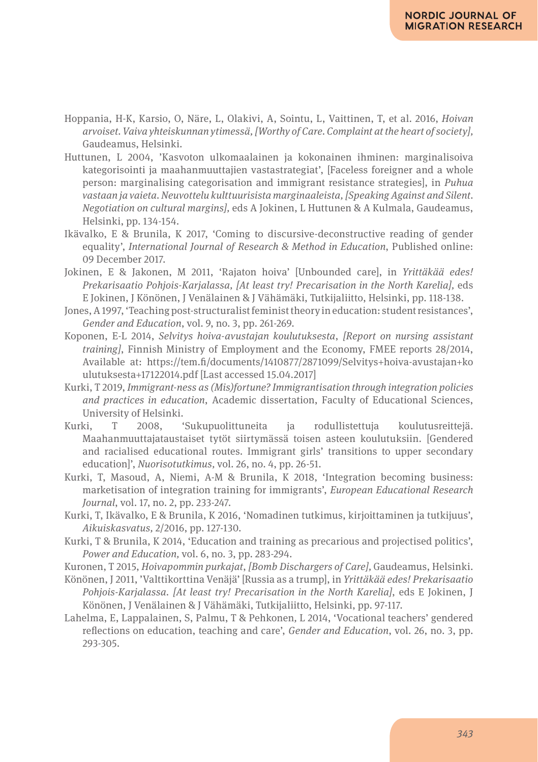- Hoppania, H-K, Karsio, O, Näre, L, Olakivi, A, Sointu, L, Vaittinen, T, et al. 2016, *Hoivan arvoiset. Vaiva yhteiskunnan ytimessä, [Worthy of Care. Complaint at the heart of society],* Gaudeamus, Helsinki.
- Huttunen, L 2004, 'Kasvoton ulkomaalainen ja kokonainen ihminen: marginalisoiva kategorisointi ja maahanmuuttajien vastastrategiat', [Faceless foreigner and a whole person: marginalising categorisation and immigrant resistance strategies], in *Puhua vastaan ja vaieta. Neuvottelu kulttuurisista marginaaleista, [Speaking Against and Silent. Negotiation on cultural margins],* eds A Jokinen, L Huttunen & A Kulmala, Gaudeamus, Helsinki, pp. 134-154.
- Ikävalko, E & Brunila, K 2017, 'Coming to discursive-deconstructive reading of gender equality', *International Journal of Research & Method in Education*, Published online: 09 December 2017.
- Jokinen, E & Jakonen, M 2011, 'Rajaton hoiva' [Unbounded care], in *Yrittäkää edes! Prekarisaatio Pohjois-Karjalassa, [At least try! Precarisation in the North Karelia],* eds E Jokinen, J Könönen, J Venälainen & J Vähämäki, Tutkijaliitto, Helsinki, pp. 118-138.
- Jones, A 1997, 'Teaching post-structuralist feminist theory in education: student resistances', *Gender and Education*, vol. 9, no. 3, pp. 261-269.
- Koponen, E-L 2014, *Selvitys hoiva-avustajan koulutuksesta*, *[Report on nursing assistant training]*, Finnish Ministry of Employment and the Economy, FMEE reports 28/2014, Available at: https://tem.fi/documents/1410877/2871099/Selvitys+hoiva-avustajan+ko ulutuksesta+17122014.pdf [Last accessed 15.04.2017]
- Kurki, T 2019, *Immigrant-ness as (Mis)fortune? Immigrantisation through integration policies and practices in education*, Academic dissertation, Faculty of Educational Sciences, University of Helsinki.<br>Kurki. T 2008.
- Kurki, T 2008, 'Sukupuolittuneita ja rodullistettuja koulutusreittejä. Maahanmuuttajataustaiset tytöt siirtymässä toisen asteen koulutuksiin. [Gendered and racialised educational routes. Immigrant girls' transitions to upper secondary education]', *Nuorisotutkimus,* vol. 26, no. 4, pp. 26-51.
- Kurki, T, Masoud, A, Niemi, A-M & Brunila, K 2018, 'Integration becoming business: marketisation of integration training for immigrants', *European Educational Research Journal*, vol. 17, no. 2, pp. 233-247.
- Kurki, T, Ikävalko, E & Brunila, K 2016, 'Nomadinen tutkimus, kirjoittaminen ja tutkijuus', *Aikuiskasvatus,* 2/2016, pp. 127-130.
- Kurki, T & Brunila, K 2014, 'Education and training as precarious and projectised politics', *Power and Education,* vol. 6, no. 3, pp. 283-294.
- Kuronen, T 2015, *Hoivapommin purkajat*, *[Bomb Dischargers of Care],* Gaudeamus, Helsinki.
- Könönen, J 2011, 'Valttikorttina Venäjä' [Russia as a trump], in *Yrittäkää edes! Prekarisaatio Pohjois-Karjalassa. [At least try! Precarisation in the North Karelia]*, eds E Jokinen, J Könönen, J Venälainen & J Vähämäki, Tutkijaliitto, Helsinki, pp. 97-117.
- Lahelma, E, Lappalainen, S, Palmu, T & Pehkonen*,* L 2014, 'Vocational teachers' gendered reflections on education, teaching and care', *Gender and Education*, vol. 26, no. 3, pp. 293-305.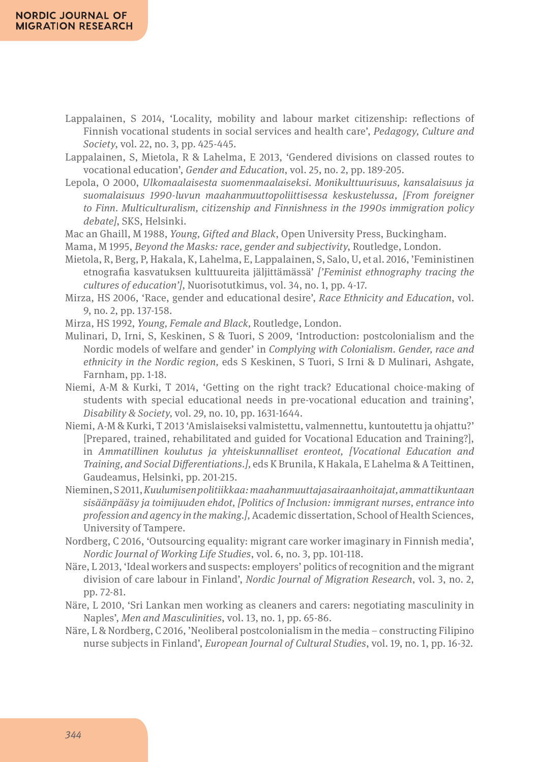- Lappalainen, S 2014, 'Locality, mobility and labour market citizenship: reflections of Finnish vocational students in social services and health care', *Pedagogy, Culture and Society*, vol. 22, no. 3, pp. 425-445.
- Lappalainen, S, Mietola, R & Lahelma, E 2013, 'Gendered divisions on classed routes to vocational education', *Gender and Education*, vol. 25, no. 2, pp. 189-205.
- Lepola, O 2000, *Ulkomaalaisesta suomenmaalaiseksi. Monikulttuurisuus, kansalaisuus ja suomalaisuus 1990-luvun maahanmuuttopoliittisessa keskustelussa, [From foreigner to Finn. Multiculturalism, citizenship and Finnishness in the 1990s immigration policy debate]*, SKS, Helsinki.
- Mac an Ghaill, M 1988, *Young, Gifted and Black*, Open University Press, Buckingham.
- Mama, M 1995, *Beyond the Masks: race, gender and subjectivity*, Routledge, London.
- Mietola, R, Berg, P, Hakala, K, Lahelma, E, Lappalainen, S, Salo, U, et al. 2016, 'Feministinen etnografia kasvatuksen kulttuureita jäljittämässä' *['Feminist ethnography tracing the cultures of education']*, Nuorisotutkimus, vol. 34, no. 1, pp. 4-17.
- Mirza, HS 2006, 'Race, gender and educational desire', *Race Ethnicity and Education*, vol. 9, no. 2, pp. 137-158.
- Mirza, HS 1992, *Young, Female and Black,* Routledge, London.
- Mulinari, D, Irni, S, Keskinen, S & Tuori, S 2009, 'Introduction: postcolonialism and the Nordic models of welfare and gender' in *Complying with Colonialism. Gender, race and ethnicity in the Nordic region,* eds S Keskinen, S Tuori, S Irni & D Mulinari, Ashgate, Farnham, pp. 1-18.
- Niemi, A-M & Kurki, T 2014, 'Getting on the right track? Educational choice-making of students with special educational needs in pre-vocational education and training', *Disability & Society,* vol. 29, no. 10, pp. 1631-1644.
- Niemi, A-M & Kurki, T 2013 'Amislaiseksi valmistettu, valmennettu, kuntoutettu ja ohjattu?' [Prepared, trained, rehabilitated and guided for Vocational Education and Training?], in *Ammatillinen koulutus ja yhteiskunnalliset eronteot, [Vocational Education and Training, and Social Differentiations.],* eds K Brunila, K Hakala, E Lahelma & A Teittinen, Gaudeamus, Helsinki, pp. 201-215.
- Nieminen, S 2011, *Kuulumisen politiikkaa: maahanmuuttajasairaanhoitajat, ammattikuntaan sisäänpääsy ja toimijuuden ehdot, [Politics of Inclusion: immigrant nurses, entrance into profession and agency in the making.],* Academic dissertation, School of Health Sciences, University of Tampere.
- Nordberg, C 2016, 'Outsourcing equality: migrant care worker imaginary in Finnish media', *Nordic Journal of Working Life Studies*, vol. 6, no. 3, pp. 101-118.
- Näre, L 2013, 'Ideal workers and suspects: employers' politics of recognition and the migrant division of care labour in Finland', *Nordic Journal of Migration Research*, vol. 3, no. 2, pp. 72-81.
- Näre, L 2010, 'Sri Lankan men working as cleaners and carers: negotiating masculinity in Naples', *Men and Masculinities*, vol. 13, no. 1, pp. 65-86.
- Näre, L & Nordberg, C 2016, 'Neoliberal postcolonialism in the media constructing Filipino nurse subjects in Finland', *European Journal of Cultural Studies*, vol. 19, no. 1, pp. 16-32.